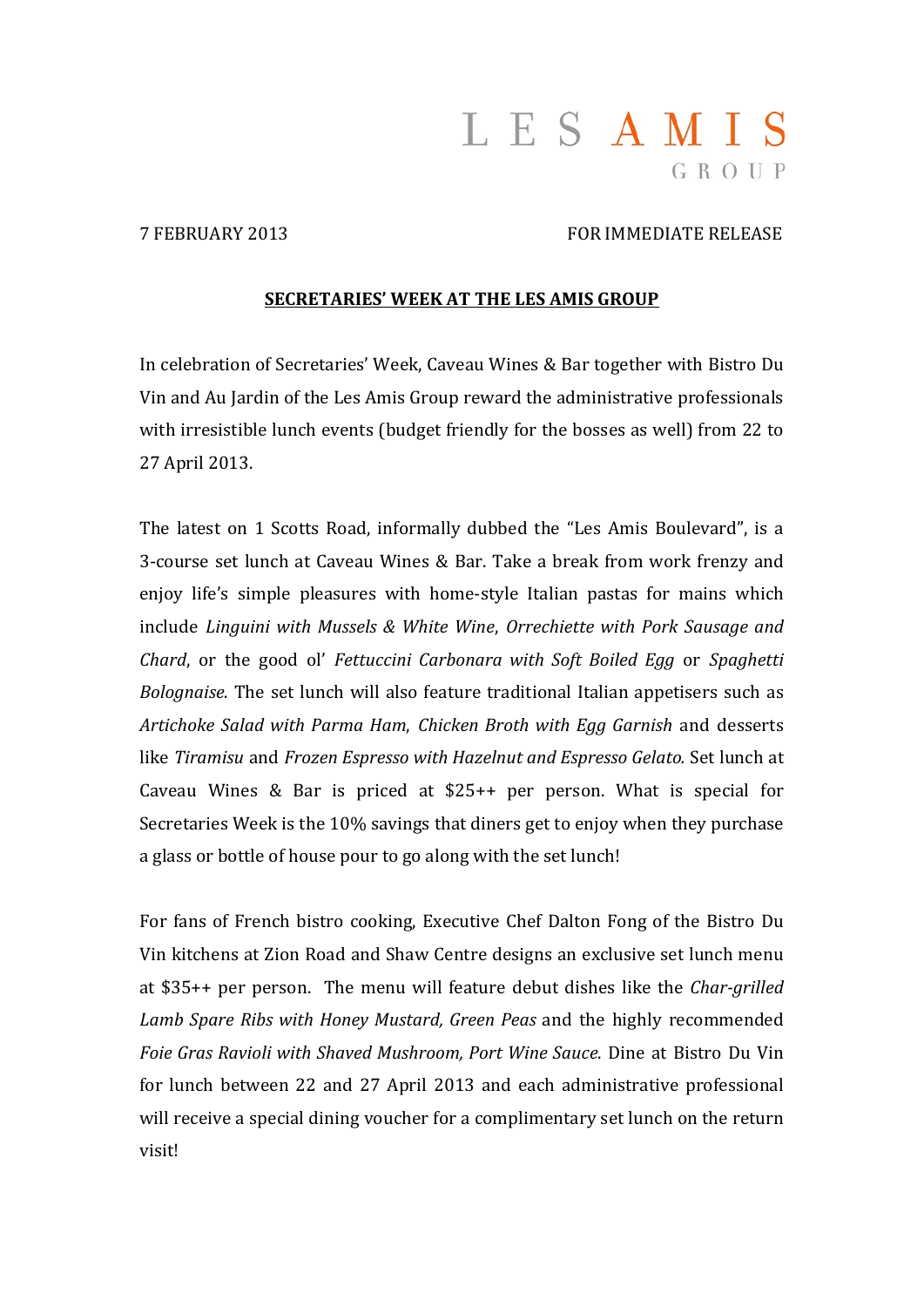# LESAMIS GROUP

#### 7 FEBRUARY 2013 FOR IMMEDIATE RELEASE

#### **SECRETARIES' WEEK AT THE LES AMIS GROUP**

In celebration of Secretaries' Week, Caveau Wines & Bar together with Bistro Du Vin and Au Jardin of the Les Amis Group reward the administrative professionals with irresistible lunch events (budget friendly for the bosses as well) from 22 to 27 April 2013. 

The latest on 1 Scotts Road, informally dubbed the "Les Amis Boulevard", is a 3-course set lunch at Caveau Wines & Bar. Take a break from work frenzy and enjoy life's simple pleasures with home-style Italian pastas for mains which include *Linguini with Mussels & White Wine*, *Orrechiette with Pork Sausage and Chard*, or the good ol' *Fettuccini Carbonara with Soft Boiled Egg* or *Spaghetti Bolognaise*. The set lunch will also feature traditional Italian appetisers such as *Artichoke Salad with Parma Ham*, *Chicken Broth with Egg Garnish* and desserts like *Tiramisu* and *Frozen Espresso with Hazelnut and Espresso Gelato.* Set lunch at Caveau Wines & Bar is priced at  $$25++$  per person. What is special for Secretaries Week is the 10% savings that diners get to enjoy when they purchase a glass or bottle of house pour to go along with the set lunch!

For fans of French bistro cooking, Executive Chef Dalton Fong of the Bistro Du Vin kitchens at Zion Road and Shaw Centre designs an exclusive set lunch menu at \$35++ per person. The menu will feature debut dishes like the *Char-grilled Lamb Spare Ribs with Honey Mustard, Green Peas* and the highly recommended *Foie Gras Ravioli with Shaved Mushroom, Port Wine Sauce*. Dine at Bistro Du Vin for lunch between 22 and 27 April 2013 and each administrative professional will receive a special dining voucher for a complimentary set lunch on the return visit!